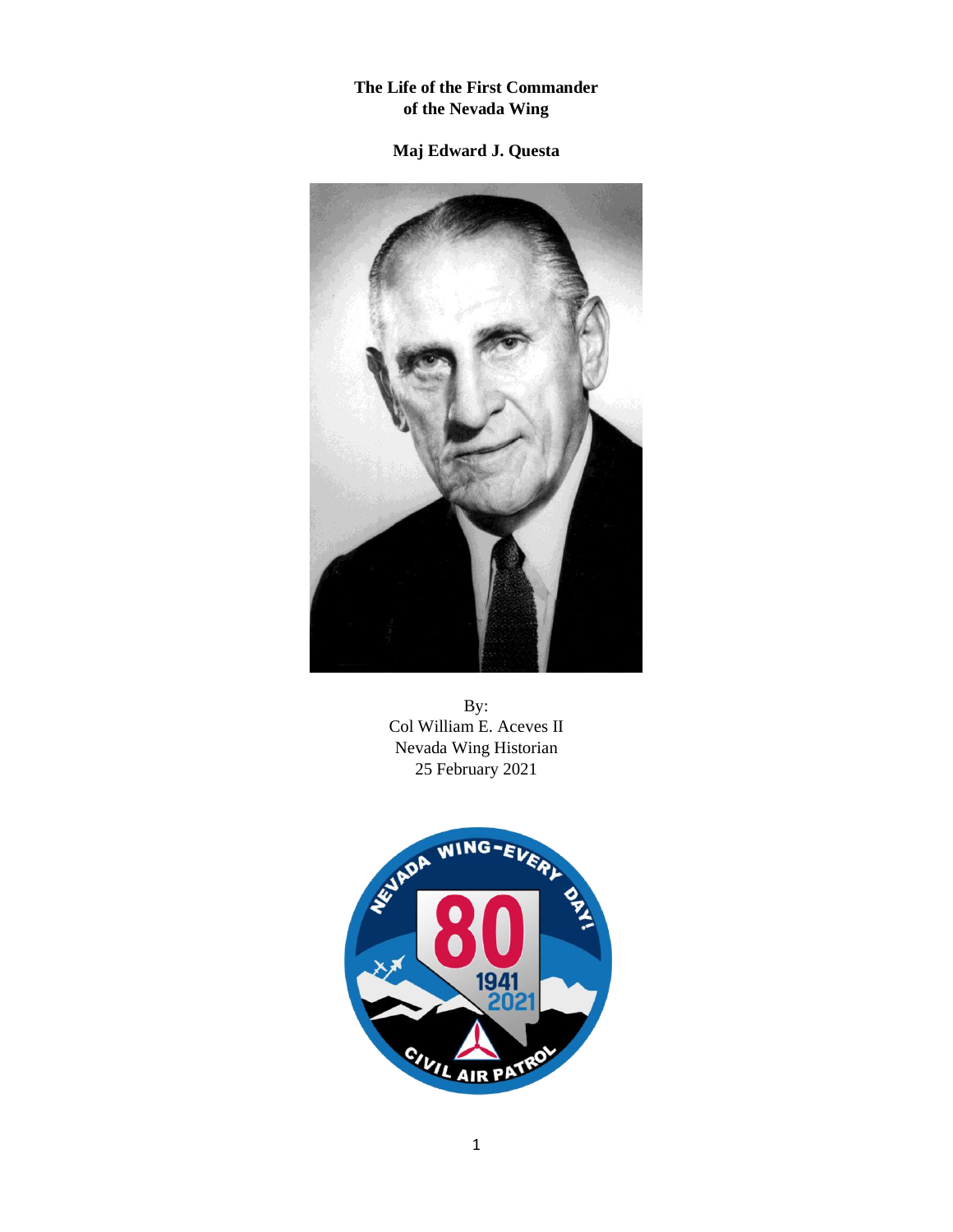### **The Life of the First Commander of the Nevada Wing**

## **Maj Edward J. Questa**



By: Col William E. Aceves II Nevada Wing Historian 25 February 2021

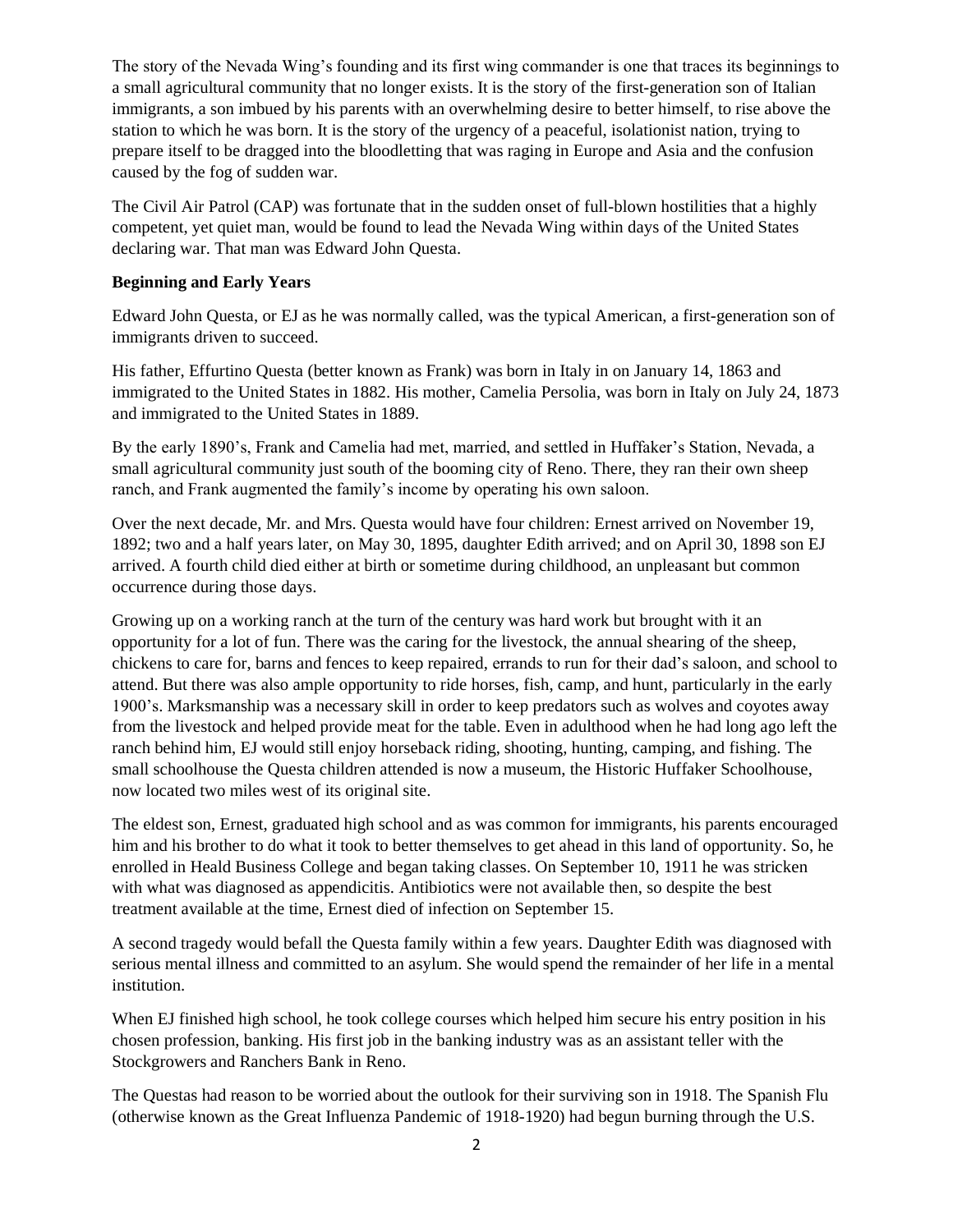The story of the Nevada Wing's founding and its first wing commander is one that traces its beginnings to a small agricultural community that no longer exists. It is the story of the first-generation son of Italian immigrants, a son imbued by his parents with an overwhelming desire to better himself, to rise above the station to which he was born. It is the story of the urgency of a peaceful, isolationist nation, trying to prepare itself to be dragged into the bloodletting that was raging in Europe and Asia and the confusion caused by the fog of sudden war.

The Civil Air Patrol (CAP) was fortunate that in the sudden onset of full-blown hostilities that a highly competent, yet quiet man, would be found to lead the Nevada Wing within days of the United States declaring war. That man was Edward John Questa.

### **Beginning and Early Years**

Edward John Questa, or EJ as he was normally called, was the typical American, a first-generation son of immigrants driven to succeed.

His father, Effurtino Questa (better known as Frank) was born in Italy in on January 14, 1863 and immigrated to the United States in 1882. His mother, Camelia Persolia, was born in Italy on July 24, 1873 and immigrated to the United States in 1889.

By the early 1890's, Frank and Camelia had met, married, and settled in Huffaker's Station, Nevada, a small agricultural community just south of the booming city of Reno. There, they ran their own sheep ranch, and Frank augmented the family's income by operating his own saloon.

Over the next decade, Mr. and Mrs. Questa would have four children: Ernest arrived on November 19, 1892; two and a half years later, on May 30, 1895, daughter Edith arrived; and on April 30, 1898 son EJ arrived. A fourth child died either at birth or sometime during childhood, an unpleasant but common occurrence during those days.

Growing up on a working ranch at the turn of the century was hard work but brought with it an opportunity for a lot of fun. There was the caring for the livestock, the annual shearing of the sheep, chickens to care for, barns and fences to keep repaired, errands to run for their dad's saloon, and school to attend. But there was also ample opportunity to ride horses, fish, camp, and hunt, particularly in the early 1900's. Marksmanship was a necessary skill in order to keep predators such as wolves and coyotes away from the livestock and helped provide meat for the table. Even in adulthood when he had long ago left the ranch behind him, EJ would still enjoy horseback riding, shooting, hunting, camping, and fishing. The small schoolhouse the Questa children attended is now a museum, the Historic Huffaker Schoolhouse, now located two miles west of its original site.

The eldest son, Ernest, graduated high school and as was common for immigrants, his parents encouraged him and his brother to do what it took to better themselves to get ahead in this land of opportunity. So, he enrolled in Heald Business College and began taking classes. On September 10, 1911 he was stricken with what was diagnosed as appendicitis. Antibiotics were not available then, so despite the best treatment available at the time, Ernest died of infection on September 15.

A second tragedy would befall the Questa family within a few years. Daughter Edith was diagnosed with serious mental illness and committed to an asylum. She would spend the remainder of her life in a mental institution.

When EJ finished high school, he took college courses which helped him secure his entry position in his chosen profession, banking. His first job in the banking industry was as an assistant teller with the Stockgrowers and Ranchers Bank in Reno.

The Questas had reason to be worried about the outlook for their surviving son in 1918. The Spanish Flu (otherwise known as the Great Influenza Pandemic of 1918-1920) had begun burning through the U.S.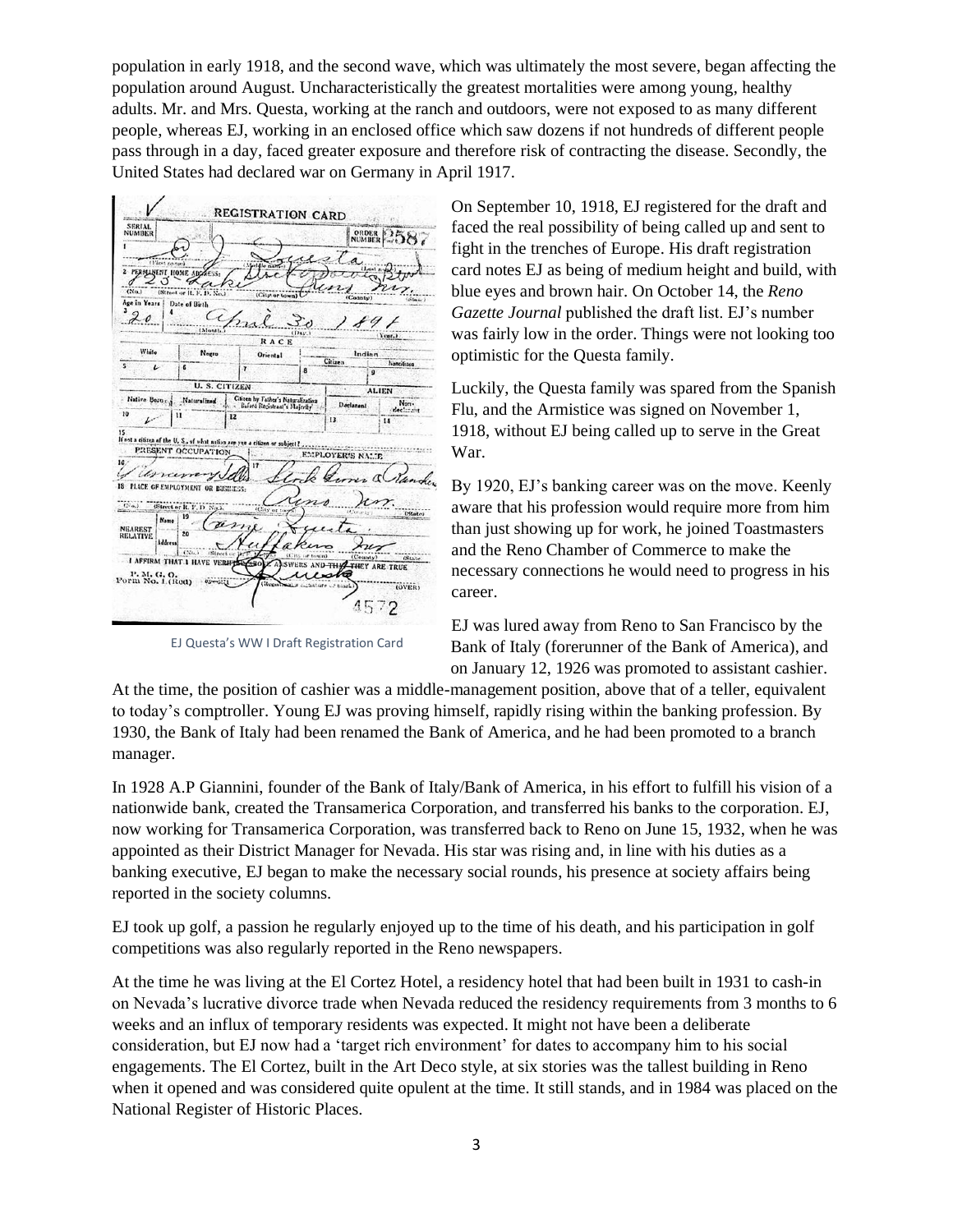population in early 1918, and the second wave, which was ultimately the most severe, began affecting the population around August. Uncharacteristically the greatest mortalities were among young, healthy adults. Mr. and Mrs. Questa, working at the ranch and outdoors, were not exposed to as many different people, whereas EJ, working in an enclosed office which saw dozens if not hundreds of different people pass through in a day, faced greater exposure and therefore risk of contracting the disease. Secondly, the United States had declared war on Germany in April 1917.

**REGISTRATION CARD** SERIAL<br>NUMBER **ORDER 2587**  $\ell$ a PERMANENT HOME AD  $A$ ge in Ye Date of Birth apri  $20$ RACE White Negro **Oriental**  $\overline{L}$ **U.S.C.** TIZEN ALII Native Born Cilizen by Father's Naturalized Doclarant Non-10  $\overline{\mathbf{u}}$  $\overline{12}$ 15<br> $\frac{1}{2}$  (and a citizen of the U, S, of what nation<br> $\frac{1}{2}$   $\frac{1}{2}$   $\frac{1}{2}$   $\frac{1}{2}$   $\frac{1}{2}$   $\frac{1}{2}$   $\frac{1}{2}$   $\frac{1}{2}$   $\frac{1}{2}$   $\frac{1}{2}$   $\frac{1}{2}$   $\frac{1}{2}$   $\frac{1}{2}$   $\frac{1}{2}$   $\frac{1}{2}$   $\frac{1}{2}$   $\frac{1$ PRESENT OCCUPATION EMPLOYER'S NATE yell unana k.  $dQ$ **18 PLACE OF EMPLOYMENT OR BIRT** 7í **NEAREST**<br>RELATIVE  $\overline{20}$ **I AFFIRM THAT I HAVE** ARE TRUE P. M. G. O.<br>Form No. 1. (Red) **OVER** 4572

EJ Questa's WW I Draft Registration Card

On September 10, 1918, EJ registered for the draft and faced the real possibility of being called up and sent to fight in the trenches of Europe. His draft registration card notes EJ as being of medium height and build, with blue eyes and brown hair. On October 14, the *Reno Gazette Journal* published the draft list. EJ's number was fairly low in the order. Things were not looking too optimistic for the Questa family.

Luckily, the Questa family was spared from the Spanish Flu, and the Armistice was signed on November 1, 1918, without EJ being called up to serve in the Great War.

By 1920, EJ's banking career was on the move. Keenly aware that his profession would require more from him than just showing up for work, he joined Toastmasters and the Reno Chamber of Commerce to make the necessary connections he would need to progress in his career.

EJ was lured away from Reno to San Francisco by the Bank of Italy (forerunner of the Bank of America), and on January 12, 1926 was promoted to assistant cashier.

At the time, the position of cashier was a middle-management position, above that of a teller, equivalent to today's comptroller. Young EJ was proving himself, rapidly rising within the banking profession. By 1930, the Bank of Italy had been renamed the Bank of America, and he had been promoted to a branch manager.

In 1928 A.P Giannini, founder of the Bank of Italy/Bank of America, in his effort to fulfill his vision of a nationwide bank, created the Transamerica Corporation, and transferred his banks to the corporation. EJ, now working for Transamerica Corporation, was transferred back to Reno on June 15, 1932, when he was appointed as their District Manager for Nevada. His star was rising and, in line with his duties as a banking executive, EJ began to make the necessary social rounds, his presence at society affairs being reported in the society columns.

EJ took up golf, a passion he regularly enjoyed up to the time of his death, and his participation in golf competitions was also regularly reported in the Reno newspapers.

At the time he was living at the El Cortez Hotel, a residency hotel that had been built in 1931 to cash-in on Nevada's lucrative divorce trade when Nevada reduced the residency requirements from 3 months to 6 weeks and an influx of temporary residents was expected. It might not have been a deliberate consideration, but EJ now had a 'target rich environment' for dates to accompany him to his social engagements. The El Cortez, built in the Art Deco style, at six stories was the tallest building in Reno when it opened and was considered quite opulent at the time. It still stands, and in 1984 was placed on the National Register of Historic Places.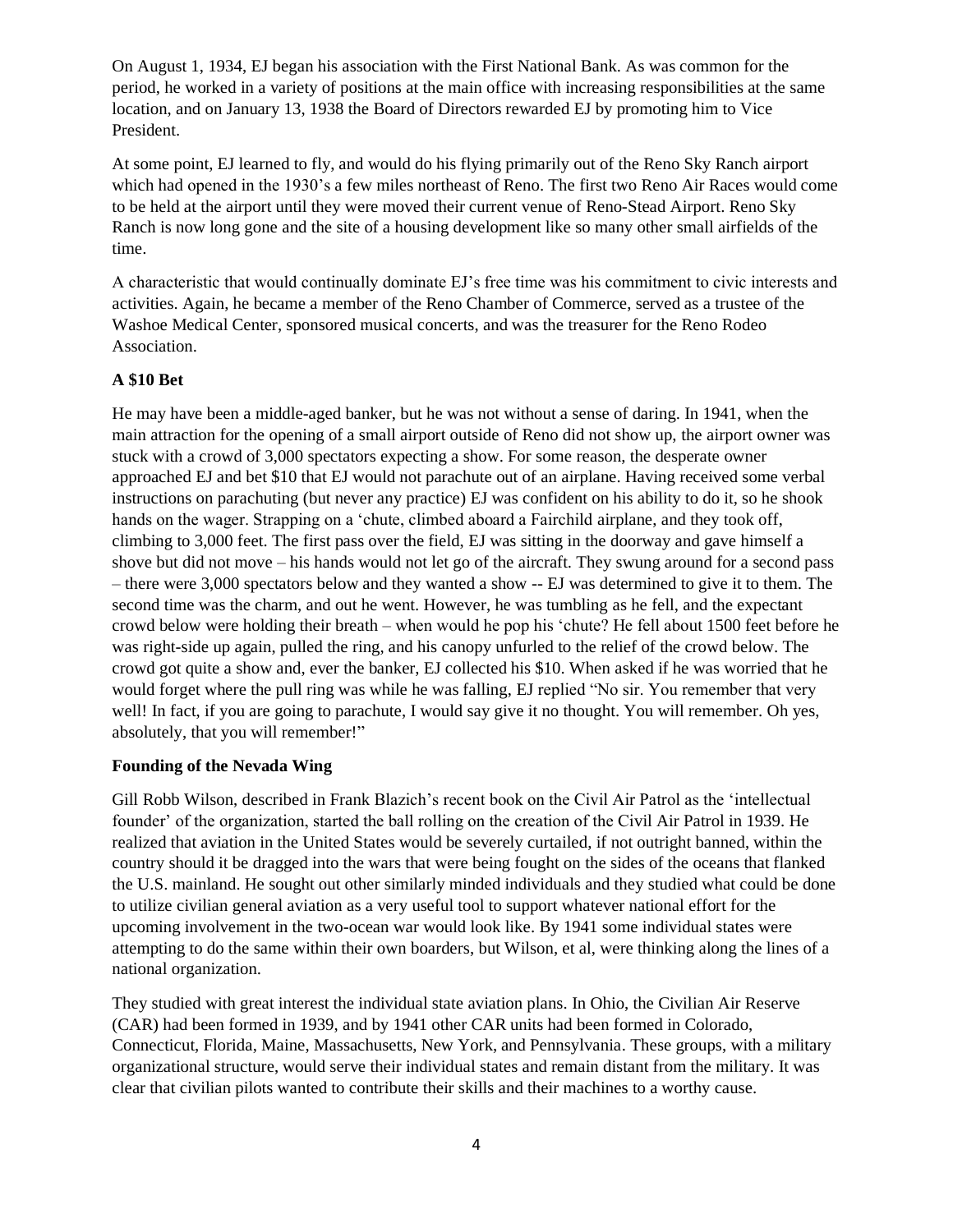On August 1, 1934, EJ began his association with the First National Bank. As was common for the period, he worked in a variety of positions at the main office with increasing responsibilities at the same location, and on January 13, 1938 the Board of Directors rewarded EJ by promoting him to Vice President.

At some point, EJ learned to fly, and would do his flying primarily out of the Reno Sky Ranch airport which had opened in the 1930's a few miles northeast of Reno. The first two Reno Air Races would come to be held at the airport until they were moved their current venue of Reno-Stead Airport. Reno Sky Ranch is now long gone and the site of a housing development like so many other small airfields of the time.

A characteristic that would continually dominate EJ's free time was his commitment to civic interests and activities. Again, he became a member of the Reno Chamber of Commerce, served as a trustee of the Washoe Medical Center, sponsored musical concerts, and was the treasurer for the Reno Rodeo Association.

#### **A \$10 Bet**

He may have been a middle-aged banker, but he was not without a sense of daring. In 1941, when the main attraction for the opening of a small airport outside of Reno did not show up, the airport owner was stuck with a crowd of 3,000 spectators expecting a show. For some reason, the desperate owner approached EJ and bet \$10 that EJ would not parachute out of an airplane. Having received some verbal instructions on parachuting (but never any practice) EJ was confident on his ability to do it, so he shook hands on the wager. Strapping on a 'chute, climbed aboard a Fairchild airplane, and they took off, climbing to 3,000 feet. The first pass over the field, EJ was sitting in the doorway and gave himself a shove but did not move – his hands would not let go of the aircraft. They swung around for a second pass – there were 3,000 spectators below and they wanted a show -- EJ was determined to give it to them. The second time was the charm, and out he went. However, he was tumbling as he fell, and the expectant crowd below were holding their breath – when would he pop his 'chute? He fell about 1500 feet before he was right-side up again, pulled the ring, and his canopy unfurled to the relief of the crowd below. The crowd got quite a show and, ever the banker, EJ collected his \$10. When asked if he was worried that he would forget where the pull ring was while he was falling, EJ replied "No sir. You remember that very well! In fact, if you are going to parachute, I would say give it no thought. You will remember. Oh yes, absolutely, that you will remember!"

#### **Founding of the Nevada Wing**

Gill Robb Wilson, described in Frank Blazich's recent book on the Civil Air Patrol as the 'intellectual founder' of the organization, started the ball rolling on the creation of the Civil Air Patrol in 1939. He realized that aviation in the United States would be severely curtailed, if not outright banned, within the country should it be dragged into the wars that were being fought on the sides of the oceans that flanked the U.S. mainland. He sought out other similarly minded individuals and they studied what could be done to utilize civilian general aviation as a very useful tool to support whatever national effort for the upcoming involvement in the two-ocean war would look like. By 1941 some individual states were attempting to do the same within their own boarders, but Wilson, et al, were thinking along the lines of a national organization.

They studied with great interest the individual state aviation plans. In Ohio, the Civilian Air Reserve (CAR) had been formed in 1939, and by 1941 other CAR units had been formed in Colorado, Connecticut, Florida, Maine, Massachusetts, New York, and Pennsylvania. These groups, with a military organizational structure, would serve their individual states and remain distant from the military. It was clear that civilian pilots wanted to contribute their skills and their machines to a worthy cause.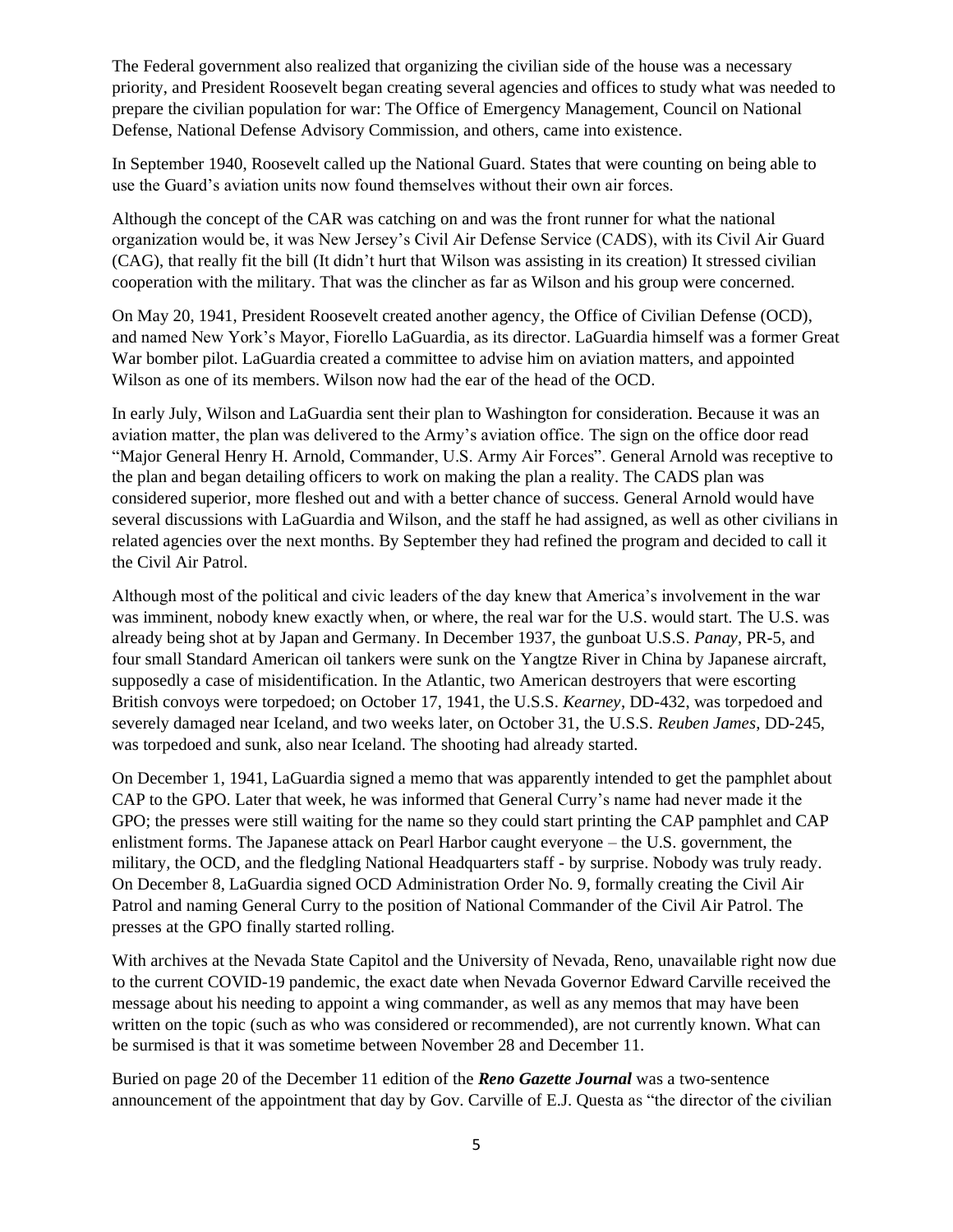The Federal government also realized that organizing the civilian side of the house was a necessary priority, and President Roosevelt began creating several agencies and offices to study what was needed to prepare the civilian population for war: The Office of Emergency Management, Council on National Defense, National Defense Advisory Commission, and others, came into existence.

In September 1940, Roosevelt called up the National Guard. States that were counting on being able to use the Guard's aviation units now found themselves without their own air forces.

Although the concept of the CAR was catching on and was the front runner for what the national organization would be, it was New Jersey's Civil Air Defense Service (CADS), with its Civil Air Guard (CAG), that really fit the bill (It didn't hurt that Wilson was assisting in its creation) It stressed civilian cooperation with the military. That was the clincher as far as Wilson and his group were concerned.

On May 20, 1941, President Roosevelt created another agency, the Office of Civilian Defense (OCD), and named New York's Mayor, Fiorello LaGuardia, as its director. LaGuardia himself was a former Great War bomber pilot. LaGuardia created a committee to advise him on aviation matters, and appointed Wilson as one of its members. Wilson now had the ear of the head of the OCD.

In early July, Wilson and LaGuardia sent their plan to Washington for consideration. Because it was an aviation matter, the plan was delivered to the Army's aviation office. The sign on the office door read "Major General Henry H. Arnold, Commander, U.S. Army Air Forces". General Arnold was receptive to the plan and began detailing officers to work on making the plan a reality. The CADS plan was considered superior, more fleshed out and with a better chance of success. General Arnold would have several discussions with LaGuardia and Wilson, and the staff he had assigned, as well as other civilians in related agencies over the next months. By September they had refined the program and decided to call it the Civil Air Patrol.

Although most of the political and civic leaders of the day knew that America's involvement in the war was imminent, nobody knew exactly when, or where, the real war for the U.S. would start. The U.S. was already being shot at by Japan and Germany. In December 1937, the gunboat U.S.S. *Panay*, PR-5, and four small Standard American oil tankers were sunk on the Yangtze River in China by Japanese aircraft, supposedly a case of misidentification. In the Atlantic, two American destroyers that were escorting British convoys were torpedoed; on October 17, 1941, the U.S.S. *Kearney*, DD-432, was torpedoed and severely damaged near Iceland, and two weeks later, on October 31, the U.S.S. *Reuben James*, DD-245, was torpedoed and sunk, also near Iceland. The shooting had already started.

On December 1, 1941, LaGuardia signed a memo that was apparently intended to get the pamphlet about CAP to the GPO. Later that week, he was informed that General Curry's name had never made it the GPO; the presses were still waiting for the name so they could start printing the CAP pamphlet and CAP enlistment forms. The Japanese attack on Pearl Harbor caught everyone – the U.S. government, the military, the OCD, and the fledgling National Headquarters staff - by surprise. Nobody was truly ready. On December 8, LaGuardia signed OCD Administration Order No. 9, formally creating the Civil Air Patrol and naming General Curry to the position of National Commander of the Civil Air Patrol. The presses at the GPO finally started rolling.

With archives at the Nevada State Capitol and the University of Nevada, Reno, unavailable right now due to the current COVID-19 pandemic, the exact date when Nevada Governor Edward Carville received the message about his needing to appoint a wing commander, as well as any memos that may have been written on the topic (such as who was considered or recommended), are not currently known. What can be surmised is that it was sometime between November 28 and December 11.

Buried on page 20 of the December 11 edition of the *Reno Gazette Journal* was a two-sentence announcement of the appointment that day by Gov. Carville of E.J. Questa as "the director of the civilian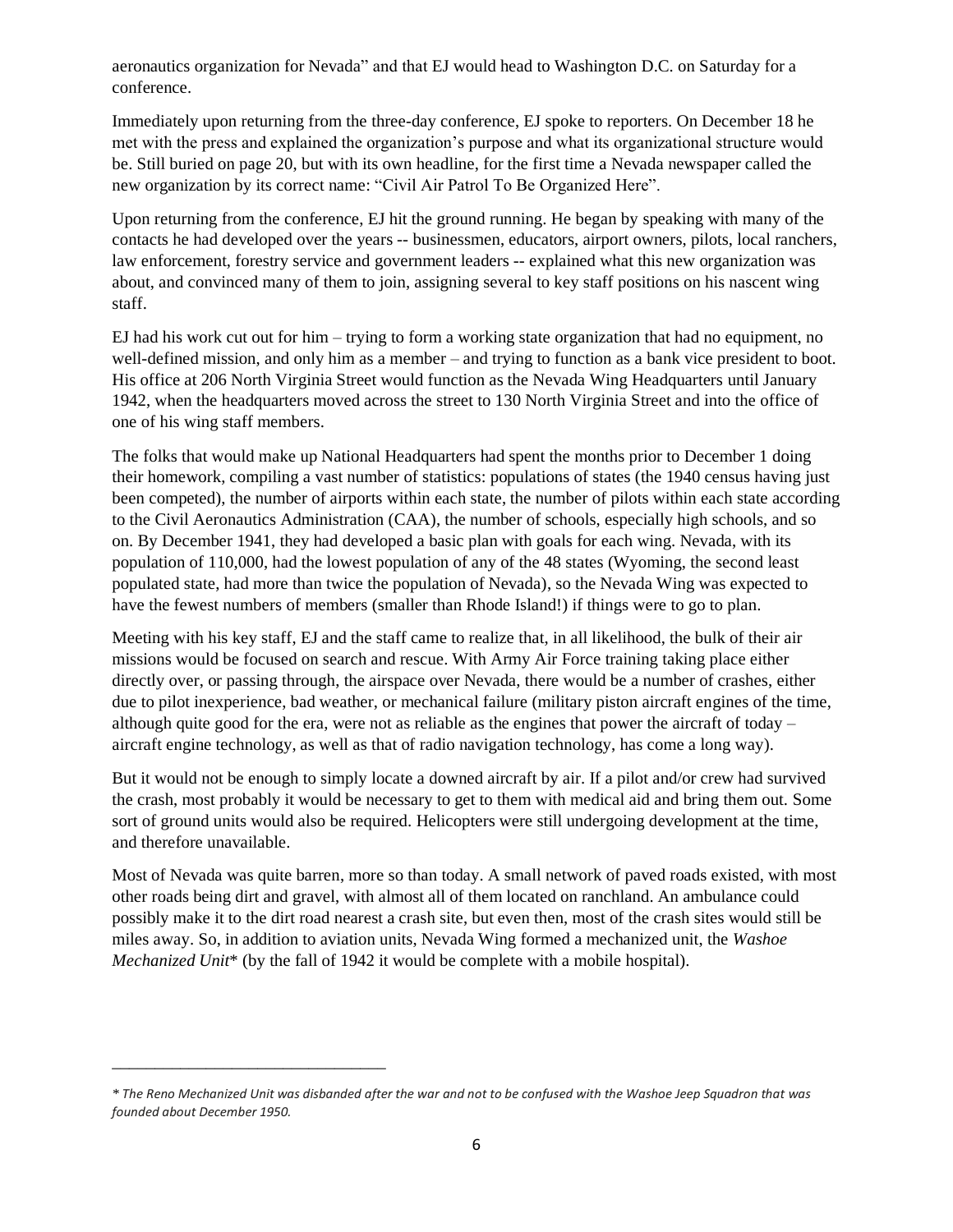aeronautics organization for Nevada" and that EJ would head to Washington D.C. on Saturday for a conference.

Immediately upon returning from the three-day conference, EJ spoke to reporters. On December 18 he met with the press and explained the organization's purpose and what its organizational structure would be. Still buried on page 20, but with its own headline, for the first time a Nevada newspaper called the new organization by its correct name: "Civil Air Patrol To Be Organized Here".

Upon returning from the conference, EJ hit the ground running. He began by speaking with many of the contacts he had developed over the years -- businessmen, educators, airport owners, pilots, local ranchers, law enforcement, forestry service and government leaders -- explained what this new organization was about, and convinced many of them to join, assigning several to key staff positions on his nascent wing staff.

EJ had his work cut out for him – trying to form a working state organization that had no equipment, no well-defined mission, and only him as a member – and trying to function as a bank vice president to boot. His office at 206 North Virginia Street would function as the Nevada Wing Headquarters until January 1942, when the headquarters moved across the street to 130 North Virginia Street and into the office of one of his wing staff members.

The folks that would make up National Headquarters had spent the months prior to December 1 doing their homework, compiling a vast number of statistics: populations of states (the 1940 census having just been competed), the number of airports within each state, the number of pilots within each state according to the Civil Aeronautics Administration (CAA), the number of schools, especially high schools, and so on. By December 1941, they had developed a basic plan with goals for each wing. Nevada, with its population of 110,000, had the lowest population of any of the 48 states (Wyoming, the second least populated state, had more than twice the population of Nevada), so the Nevada Wing was expected to have the fewest numbers of members (smaller than Rhode Island!) if things were to go to plan.

Meeting with his key staff, EJ and the staff came to realize that, in all likelihood, the bulk of their air missions would be focused on search and rescue. With Army Air Force training taking place either directly over, or passing through, the airspace over Nevada, there would be a number of crashes, either due to pilot inexperience, bad weather, or mechanical failure (military piston aircraft engines of the time, although quite good for the era, were not as reliable as the engines that power the aircraft of today  $$ aircraft engine technology, as well as that of radio navigation technology, has come a long way).

But it would not be enough to simply locate a downed aircraft by air. If a pilot and/or crew had survived the crash, most probably it would be necessary to get to them with medical aid and bring them out. Some sort of ground units would also be required. Helicopters were still undergoing development at the time, and therefore unavailable.

Most of Nevada was quite barren, more so than today. A small network of paved roads existed, with most other roads being dirt and gravel, with almost all of them located on ranchland. An ambulance could possibly make it to the dirt road nearest a crash site, but even then, most of the crash sites would still be miles away. So, in addition to aviation units, Nevada Wing formed a mechanized unit, the *Washoe Mechanized Unit*\* (by the fall of 1942 it would be complete with a mobile hospital).

\_\_\_\_\_\_\_\_\_\_\_\_\_\_\_\_\_\_\_\_\_\_\_\_\_\_\_\_\_\_\_\_

*<sup>\*</sup> The Reno Mechanized Unit was disbanded after the war and not to be confused with the Washoe Jeep Squadron that was founded about December 1950.*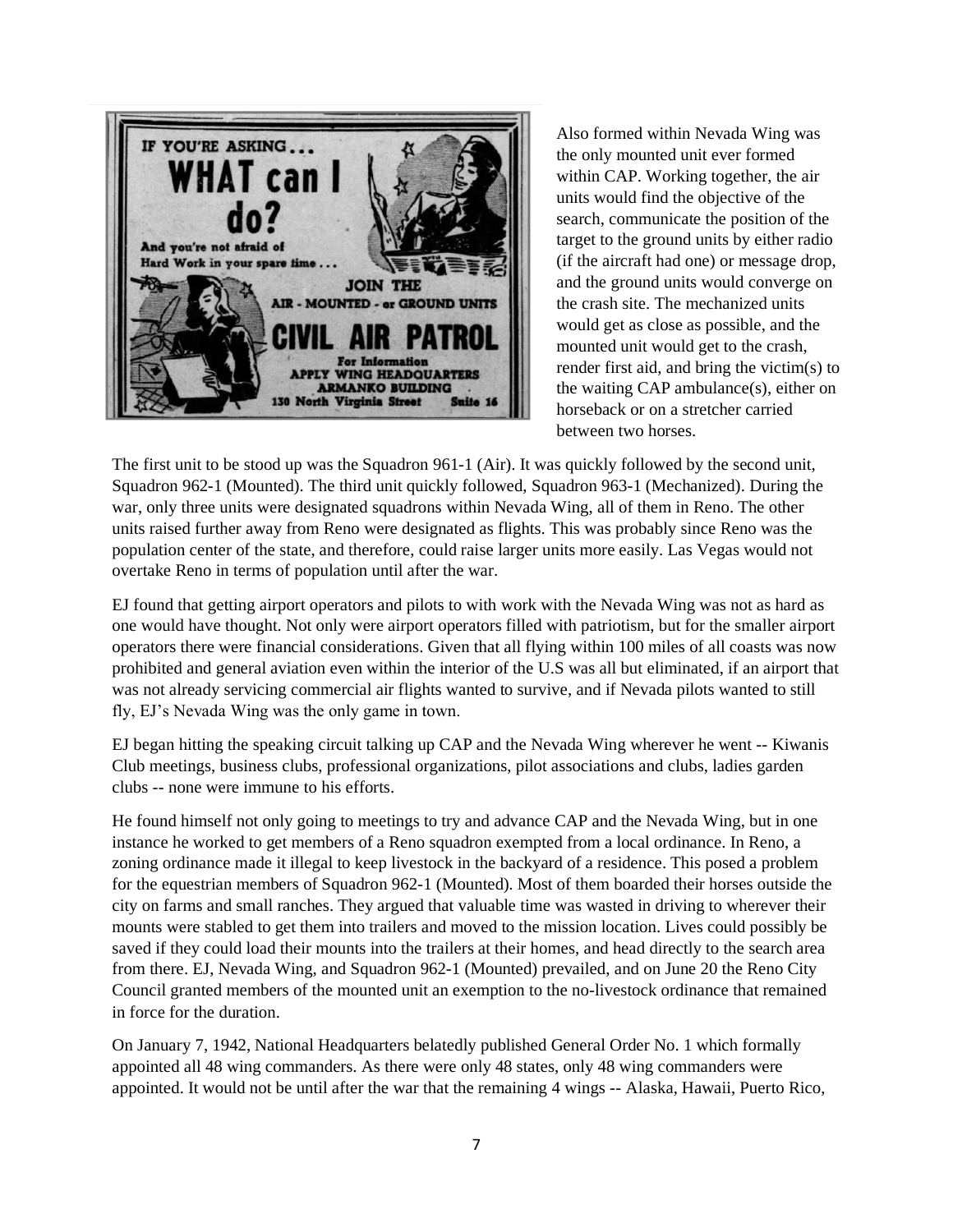

Also formed within Nevada Wing was the only mounted unit ever formed within CAP. Working together, the air units would find the objective of the search, communicate the position of the target to the ground units by either radio (if the aircraft had one) or message drop, and the ground units would converge on the crash site. The mechanized units would get as close as possible, and the mounted unit would get to the crash, render first aid, and bring the victim(s) to the waiting CAP ambulance(s), either on horseback or on a stretcher carried between two horses.

The first unit to be stood up was the Squadron 961-1 (Air). It was quickly followed by the second unit, Squadron 962-1 (Mounted). The third unit quickly followed, Squadron 963-1 (Mechanized). During the war, only three units were designated squadrons within Nevada Wing, all of them in Reno. The other units raised further away from Reno were designated as flights. This was probably since Reno was the population center of the state, and therefore, could raise larger units more easily. Las Vegas would not overtake Reno in terms of population until after the war.

EJ found that getting airport operators and pilots to with work with the Nevada Wing was not as hard as one would have thought. Not only were airport operators filled with patriotism, but for the smaller airport operators there were financial considerations. Given that all flying within 100 miles of all coasts was now prohibited and general aviation even within the interior of the U.S was all but eliminated, if an airport that was not already servicing commercial air flights wanted to survive, and if Nevada pilots wanted to still fly, EJ's Nevada Wing was the only game in town.

EJ began hitting the speaking circuit talking up CAP and the Nevada Wing wherever he went -- Kiwanis Club meetings, business clubs, professional organizations, pilot associations and clubs, ladies garden clubs -- none were immune to his efforts.

He found himself not only going to meetings to try and advance CAP and the Nevada Wing, but in one instance he worked to get members of a Reno squadron exempted from a local ordinance. In Reno, a zoning ordinance made it illegal to keep livestock in the backyard of a residence. This posed a problem for the equestrian members of Squadron 962-1 (Mounted). Most of them boarded their horses outside the city on farms and small ranches. They argued that valuable time was wasted in driving to wherever their mounts were stabled to get them into trailers and moved to the mission location. Lives could possibly be saved if they could load their mounts into the trailers at their homes, and head directly to the search area from there. EJ, Nevada Wing, and Squadron 962-1 (Mounted) prevailed, and on June 20 the Reno City Council granted members of the mounted unit an exemption to the no-livestock ordinance that remained in force for the duration.

On January 7, 1942, National Headquarters belatedly published General Order No. 1 which formally appointed all 48 wing commanders. As there were only 48 states, only 48 wing commanders were appointed. It would not be until after the war that the remaining 4 wings -- Alaska, Hawaii, Puerto Rico,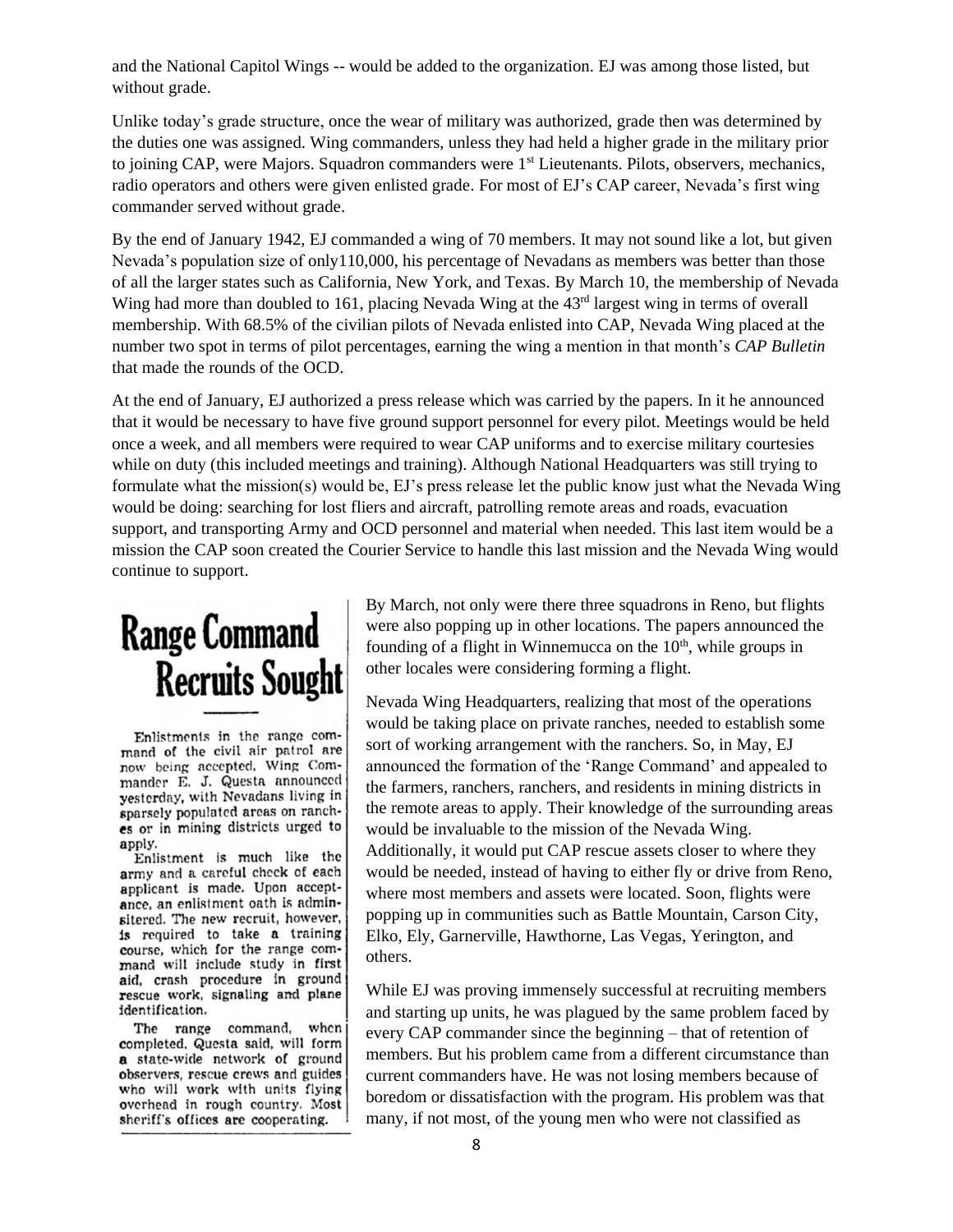and the National Capitol Wings -- would be added to the organization. EJ was among those listed, but without grade.

Unlike today's grade structure, once the wear of military was authorized, grade then was determined by the duties one was assigned. Wing commanders, unless they had held a higher grade in the military prior to joining CAP, were Majors. Squadron commanders were 1<sup>st</sup> Lieutenants. Pilots, observers, mechanics, radio operators and others were given enlisted grade. For most of EJ's CAP career, Nevada's first wing commander served without grade.

By the end of January 1942, EJ commanded a wing of 70 members. It may not sound like a lot, but given Nevada's population size of only110,000, his percentage of Nevadans as members was better than those of all the larger states such as California, New York, and Texas. By March 10, the membership of Nevada Wing had more than doubled to 161, placing Nevada Wing at the 43<sup>rd</sup> largest wing in terms of overall membership. With 68.5% of the civilian pilots of Nevada enlisted into CAP, Nevada Wing placed at the number two spot in terms of pilot percentages, earning the wing a mention in that month's *CAP Bulletin* that made the rounds of the OCD.

At the end of January, EJ authorized a press release which was carried by the papers. In it he announced that it would be necessary to have five ground support personnel for every pilot. Meetings would be held once a week, and all members were required to wear CAP uniforms and to exercise military courtesies while on duty (this included meetings and training). Although National Headquarters was still trying to formulate what the mission(s) would be, EJ's press release let the public know just what the Nevada Wing would be doing: searching for lost fliers and aircraft, patrolling remote areas and roads, evacuation support, and transporting Army and OCD personnel and material when needed. This last item would be a mission the CAP soon created the Courier Service to handle this last mission and the Nevada Wing would continue to support.

# **Range Command Recruits Sought**

Enlistments in the range command of the civil air patrol are now being accepted, Wing Commander E. J. Questa announced yesterday, with Nevadans living in sparsely populated areas on ranches or in mining districts urged to apply.

Enlistment is much like the army and a careful check of each applicant is made. Upon acceptance, an enlistment oath is adminsitered. The new recruit, however, is required to take a training course, which for the range command will include study in first aid, crash procedure in ground rescue work, signaling and plane identification.

The range command, when completed, Questa said, will form a state-wide network of ground observers, rescue crews and guides who will work with units flying overhead in rough country. Most sheriff's offices are cooperating.

By March, not only were there three squadrons in Reno, but flights were also popping up in other locations. The papers announced the founding of a flight in Winnemucca on the  $10<sup>th</sup>$ , while groups in other locales were considering forming a flight.

Nevada Wing Headquarters, realizing that most of the operations would be taking place on private ranches, needed to establish some sort of working arrangement with the ranchers. So, in May, EJ announced the formation of the 'Range Command' and appealed to the farmers, ranchers, ranchers, and residents in mining districts in the remote areas to apply. Their knowledge of the surrounding areas would be invaluable to the mission of the Nevada Wing. Additionally, it would put CAP rescue assets closer to where they would be needed, instead of having to either fly or drive from Reno, where most members and assets were located. Soon, flights were popping up in communities such as Battle Mountain, Carson City, Elko, Ely, Garnerville, Hawthorne, Las Vegas, Yerington, and others.

While EJ was proving immensely successful at recruiting members and starting up units, he was plagued by the same problem faced by every CAP commander since the beginning – that of retention of members. But his problem came from a different circumstance than current commanders have. He was not losing members because of boredom or dissatisfaction with the program. His problem was that many, if not most, of the young men who were not classified as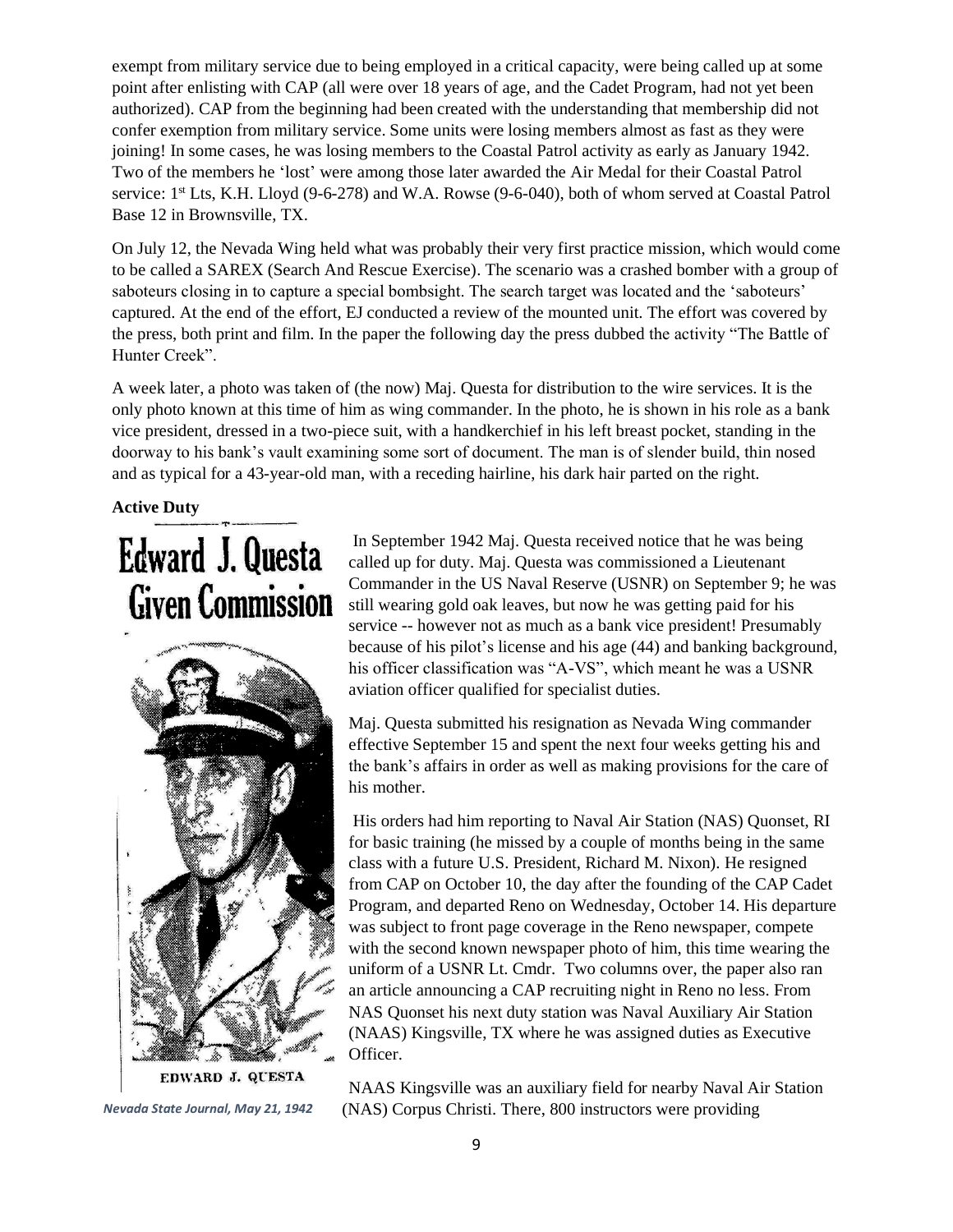exempt from military service due to being employed in a critical capacity, were being called up at some point after enlisting with CAP (all were over 18 years of age, and the Cadet Program, had not yet been authorized). CAP from the beginning had been created with the understanding that membership did not confer exemption from military service. Some units were losing members almost as fast as they were joining! In some cases, he was losing members to the Coastal Patrol activity as early as January 1942. Two of the members he 'lost' were among those later awarded the Air Medal for their Coastal Patrol service: 1<sup>st</sup> Lts, K.H. Lloyd (9-6-278) and W.A. Rowse (9-6-040), both of whom served at Coastal Patrol Base 12 in Brownsville, TX.

On July 12, the Nevada Wing held what was probably their very first practice mission, which would come to be called a SAREX (Search And Rescue Exercise). The scenario was a crashed bomber with a group of saboteurs closing in to capture a special bombsight. The search target was located and the 'saboteurs' captured. At the end of the effort, EJ conducted a review of the mounted unit. The effort was covered by the press, both print and film. In the paper the following day the press dubbed the activity "The Battle of Hunter Creek".

A week later, a photo was taken of (the now) Maj. Questa for distribution to the wire services. It is the only photo known at this time of him as wing commander. In the photo, he is shown in his role as a bank vice president, dressed in a two-piece suit, with a handkerchief in his left breast pocket, standing in the doorway to his bank's vault examining some sort of document. The man is of slender build, thin nosed and as typical for a 43-year-old man, with a receding hairline, his dark hair parted on the right.

#### **Active Duty**

# **Edward J. Questa Given Commission**



In September 1942 Maj. Questa received notice that he was being called up for duty. Maj. Questa was commissioned a Lieutenant Commander in the US Naval Reserve (USNR) on September 9; he was still wearing gold oak leaves, but now he was getting paid for his service -- however not as much as a bank vice president! Presumably because of his pilot's license and his age (44) and banking background, his officer classification was "A-VS", which meant he was a USNR aviation officer qualified for specialist duties.

Maj. Questa submitted his resignation as Nevada Wing commander effective September 15 and spent the next four weeks getting his and the bank's affairs in order as well as making provisions for the care of his mother.

His orders had him reporting to Naval Air Station (NAS) Quonset, RI for basic training (he missed by a couple of months being in the same class with a future U.S. President, Richard M. Nixon). He resigned from CAP on October 10, the day after the founding of the CAP Cadet Program, and departed Reno on Wednesday, October 14. His departure was subject to front page coverage in the Reno newspaper, compete with the second known newspaper photo of him, this time wearing the uniform of a USNR Lt. Cmdr. Two columns over, the paper also ran an article announcing a CAP recruiting night in Reno no less. From NAS Quonset his next duty station was Naval Auxiliary Air Station (NAAS) Kingsville, TX where he was assigned duties as Executive Officer.

NAAS Kingsville was an auxiliary field for nearby Naval Air Station *Nevada State Journal, May 21, 1942* (NAS) Corpus Christi. There, 800 instructors were providing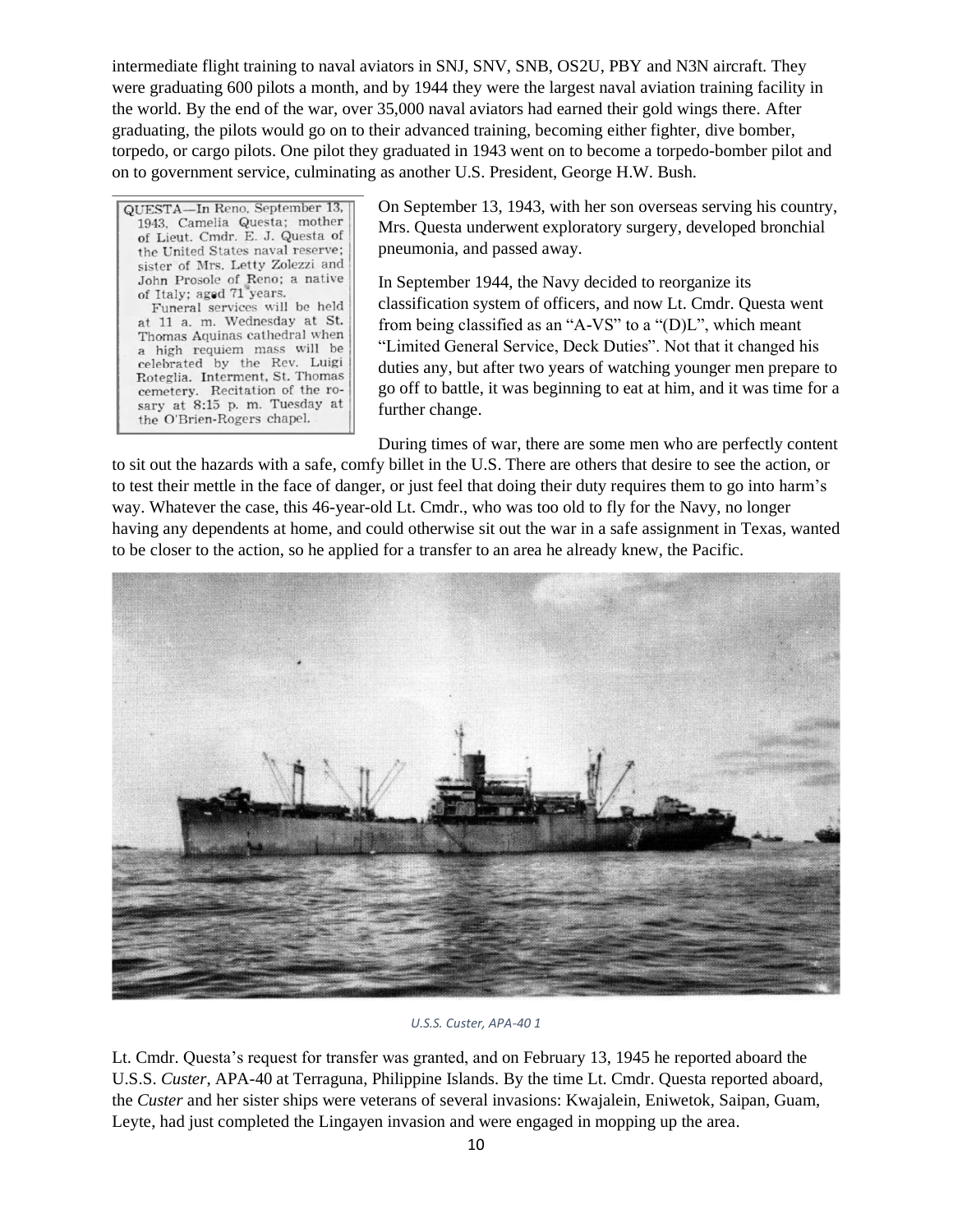intermediate flight training to naval aviators in SNJ, SNV, SNB, OS2U, PBY and N3N aircraft. They were graduating 600 pilots a month, and by 1944 they were the largest naval aviation training facility in the world. By the end of the war, over 35,000 naval aviators had earned their gold wings there. After graduating, the pilots would go on to their advanced training, becoming either fighter, dive bomber, torpedo, or cargo pilots. One pilot they graduated in 1943 went on to become a torpedo-bomber pilot and on to government service, culminating as another U.S. President, George H.W. Bush.

QUESTA-In Reno, September 13, 1943, Camelia Questa; mother of Lieut. Cmdr. E. J. Questa of the United States naval reserve; sister of Mrs. Letty Zolezzi and John Prosole of Reno; a native of Italy; aged 71 years. Funeral services will be held at 11 a. m. Wednesday at St. Thomas Aquinas cathedral when a high requiem mass will be celebrated by the Rev. Luigi Roteglia. Interment, St. Thomas cemetery. Recitation of the rosary at 8:15 p.m. Tuesday at the O'Brien-Rogers chapel.

On September 13, 1943, with her son overseas serving his country, Mrs. Questa underwent exploratory surgery, developed bronchial pneumonia, and passed away.

In September 1944, the Navy decided to reorganize its classification system of officers, and now Lt. Cmdr. Questa went from being classified as an "A-VS" to a "(D)L", which meant "Limited General Service, Deck Duties". Not that it changed his duties any, but after two years of watching younger men prepare to go off to battle, it was beginning to eat at him, and it was time for a further change.

During times of war, there are some men who are perfectly content

to sit out the hazards with a safe, comfy billet in the U.S. There are others that desire to see the action, or to test their mettle in the face of danger, or just feel that doing their duty requires them to go into harm's way. Whatever the case, this 46-year-old Lt. Cmdr., who was too old to fly for the Navy, no longer having any dependents at home, and could otherwise sit out the war in a safe assignment in Texas, wanted to be closer to the action, so he applied for a transfer to an area he already knew, the Pacific.



#### *U.S.S. Custer, APA-40 1*

Lt. Cmdr. Questa's request for transfer was granted, and on February 13, 1945 he reported aboard the U.S.S. *Custer*, APA-40 at Terraguna, Philippine Islands. By the time Lt. Cmdr. Questa reported aboard, the *Custer* and her sister ships were veterans of several invasions: Kwajalein, Eniwetok, Saipan, Guam, Leyte, had just completed the Lingayen invasion and were engaged in mopping up the area.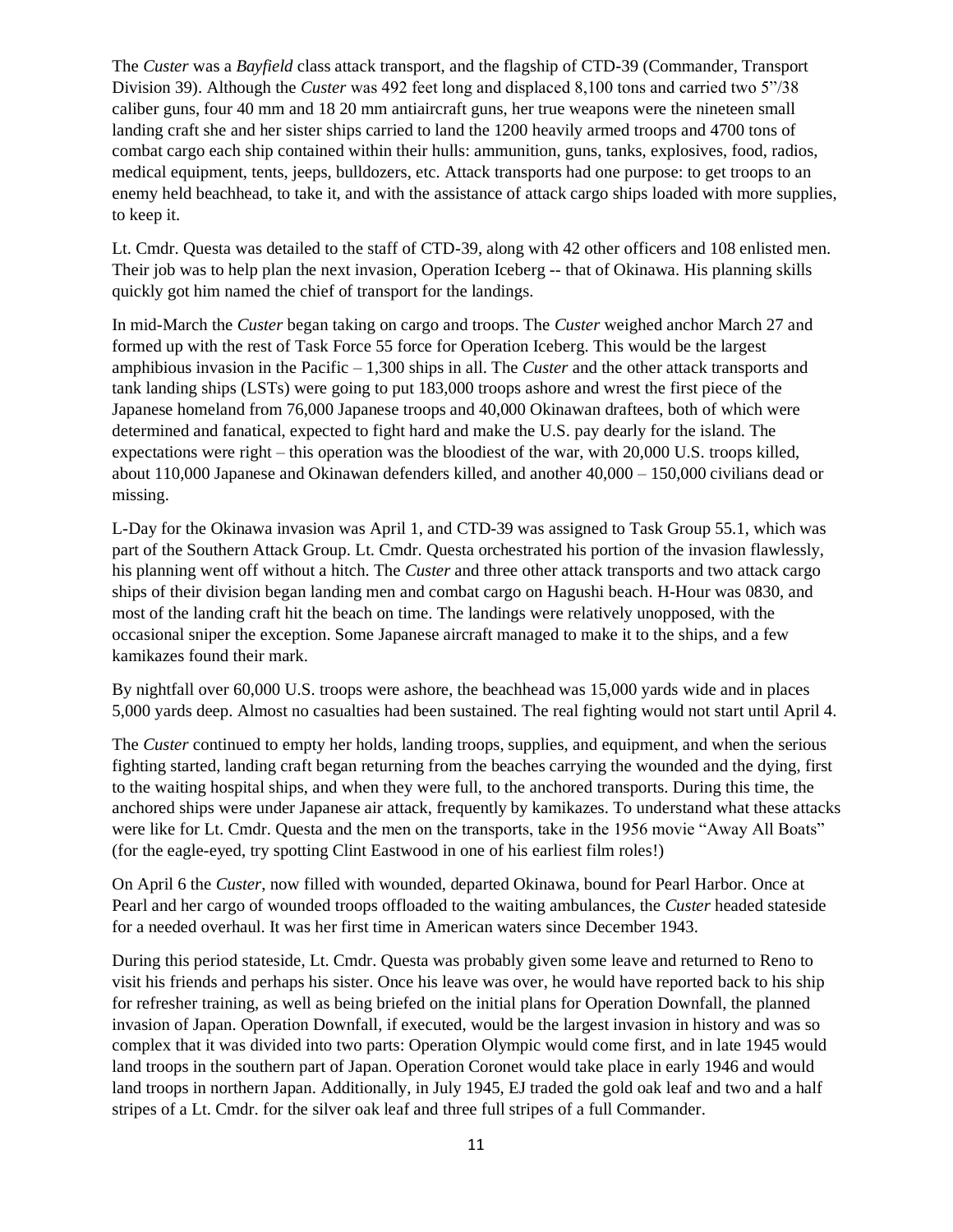The *Custer* was a *Bayfield* class attack transport, and the flagship of CTD-39 (Commander, Transport Division 39). Although the *Custer* was 492 feet long and displaced 8,100 tons and carried two 5"/38 caliber guns, four 40 mm and 18 20 mm antiaircraft guns, her true weapons were the nineteen small landing craft she and her sister ships carried to land the 1200 heavily armed troops and 4700 tons of combat cargo each ship contained within their hulls: ammunition, guns, tanks, explosives, food, radios, medical equipment, tents, jeeps, bulldozers, etc. Attack transports had one purpose: to get troops to an enemy held beachhead, to take it, and with the assistance of attack cargo ships loaded with more supplies, to keep it.

Lt. Cmdr. Questa was detailed to the staff of CTD-39, along with 42 other officers and 108 enlisted men. Their job was to help plan the next invasion, Operation Iceberg -- that of Okinawa. His planning skills quickly got him named the chief of transport for the landings.

In mid-March the *Custer* began taking on cargo and troops. The *Custer* weighed anchor March 27 and formed up with the rest of Task Force 55 force for Operation Iceberg. This would be the largest amphibious invasion in the Pacific – 1,300 ships in all. The *Custer* and the other attack transports and tank landing ships (LSTs) were going to put 183,000 troops ashore and wrest the first piece of the Japanese homeland from 76,000 Japanese troops and 40,000 Okinawan draftees, both of which were determined and fanatical, expected to fight hard and make the U.S. pay dearly for the island. The expectations were right – this operation was the bloodiest of the war, with 20,000 U.S. troops killed, about 110,000 Japanese and Okinawan defenders killed, and another 40,000 – 150,000 civilians dead or missing.

L-Day for the Okinawa invasion was April 1, and CTD-39 was assigned to Task Group 55.1, which was part of the Southern Attack Group. Lt. Cmdr. Questa orchestrated his portion of the invasion flawlessly, his planning went off without a hitch. The *Custer* and three other attack transports and two attack cargo ships of their division began landing men and combat cargo on Hagushi beach. H-Hour was 0830, and most of the landing craft hit the beach on time. The landings were relatively unopposed, with the occasional sniper the exception. Some Japanese aircraft managed to make it to the ships, and a few kamikazes found their mark.

By nightfall over 60,000 U.S. troops were ashore, the beachhead was 15,000 yards wide and in places 5,000 yards deep. Almost no casualties had been sustained. The real fighting would not start until April 4.

The *Custer* continued to empty her holds, landing troops, supplies, and equipment, and when the serious fighting started, landing craft began returning from the beaches carrying the wounded and the dying, first to the waiting hospital ships, and when they were full, to the anchored transports. During this time, the anchored ships were under Japanese air attack, frequently by kamikazes. To understand what these attacks were like for Lt. Cmdr. Questa and the men on the transports, take in the 1956 movie "Away All Boats" (for the eagle-eyed, try spotting Clint Eastwood in one of his earliest film roles!)

On April 6 the *Custer*, now filled with wounded, departed Okinawa, bound for Pearl Harbor. Once at Pearl and her cargo of wounded troops offloaded to the waiting ambulances, the *Custer* headed stateside for a needed overhaul. It was her first time in American waters since December 1943.

During this period stateside, Lt. Cmdr. Questa was probably given some leave and returned to Reno to visit his friends and perhaps his sister. Once his leave was over, he would have reported back to his ship for refresher training, as well as being briefed on the initial plans for Operation Downfall, the planned invasion of Japan. Operation Downfall, if executed, would be the largest invasion in history and was so complex that it was divided into two parts: Operation Olympic would come first, and in late 1945 would land troops in the southern part of Japan. Operation Coronet would take place in early 1946 and would land troops in northern Japan. Additionally, in July 1945, EJ traded the gold oak leaf and two and a half stripes of a Lt. Cmdr. for the silver oak leaf and three full stripes of a full Commander.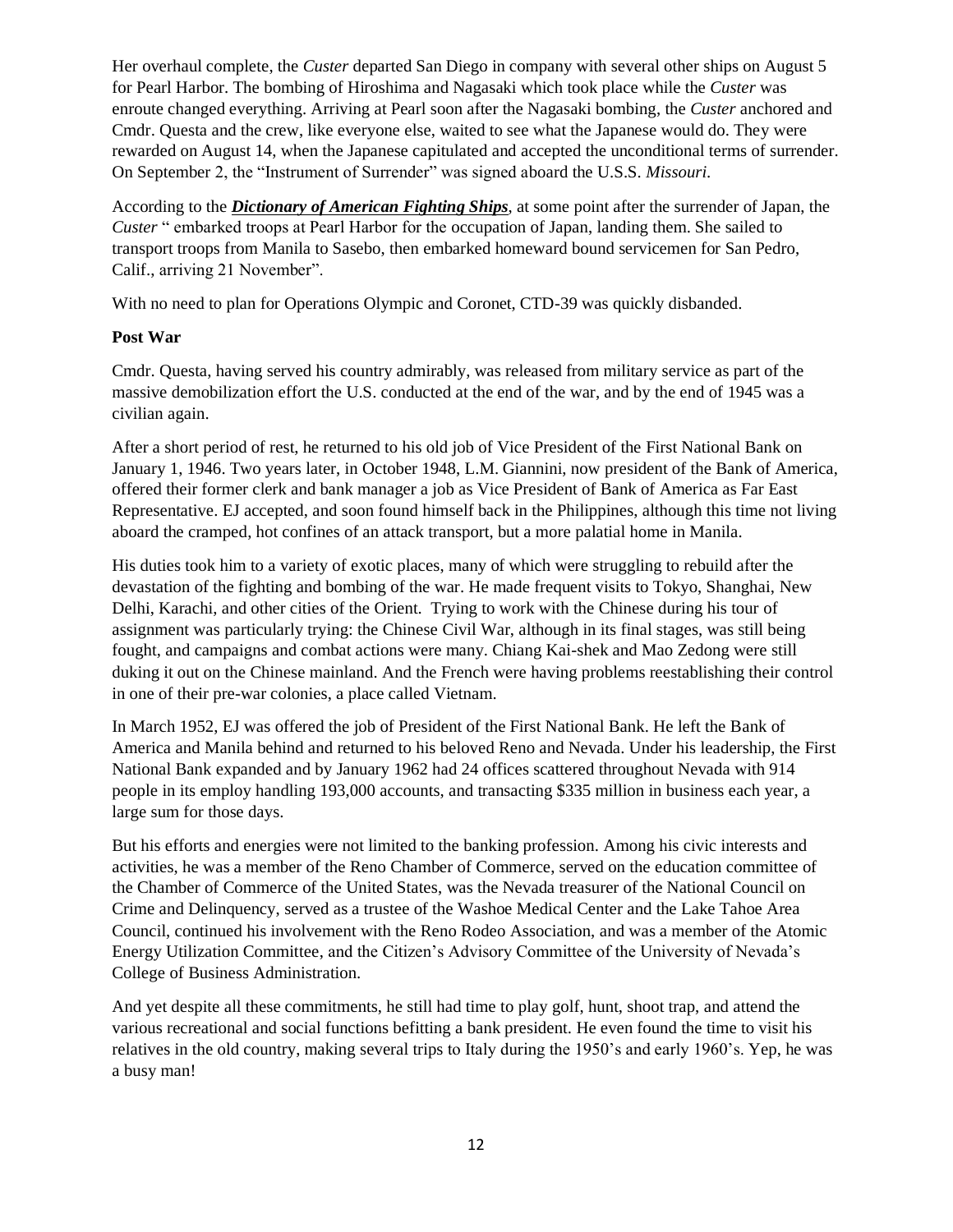Her overhaul complete, the *Custer* departed San Diego in company with several other ships on August 5 for Pearl Harbor. The bombing of Hiroshima and Nagasaki which took place while the *Custer* was enroute changed everything. Arriving at Pearl soon after the Nagasaki bombing, the *Custer* anchored and Cmdr. Questa and the crew, like everyone else, waited to see what the Japanese would do. They were rewarded on August 14, when the Japanese capitulated and accepted the unconditional terms of surrender. On September 2, the "Instrument of Surrender" was signed aboard the U.S.S. *Missouri*.

According to the *Dictionary of American Fighting Ships*, at some point after the surrender of Japan, the *Custer* " embarked troops at Pearl Harbor for the [occupation of Japan,](https://en.wikipedia.org/wiki/Occupation_of_Japan) landing them. She sailed to transport troops from [Manila](https://en.wikipedia.org/wiki/Manila) to Sasebo, then embarked homeward bound servicemen for San Pedro, Calif., arriving 21 November".

With no need to plan for Operations Olympic and Coronet, CTD-39 was quickly disbanded.

#### **Post War**

Cmdr. Questa, having served his country admirably, was released from military service as part of the massive demobilization effort the U.S. conducted at the end of the war, and by the end of 1945 was a civilian again.

After a short period of rest, he returned to his old job of Vice President of the First National Bank on January 1, 1946. Two years later, in October 1948, L.M. Giannini, now president of the Bank of America, offered their former clerk and bank manager a job as Vice President of Bank of America as Far East Representative. EJ accepted, and soon found himself back in the Philippines, although this time not living aboard the cramped, hot confines of an attack transport, but a more palatial home in Manila.

His duties took him to a variety of exotic places, many of which were struggling to rebuild after the devastation of the fighting and bombing of the war. He made frequent visits to Tokyo, Shanghai, New Delhi, Karachi, and other cities of the Orient. Trying to work with the Chinese during his tour of assignment was particularly trying: the Chinese Civil War, although in its final stages, was still being fought, and campaigns and combat actions were many. Chiang Kai-shek and Mao Zedong were still duking it out on the Chinese mainland. And the French were having problems reestablishing their control in one of their pre-war colonies, a place called Vietnam.

In March 1952, EJ was offered the job of President of the First National Bank. He left the Bank of America and Manila behind and returned to his beloved Reno and Nevada. Under his leadership, the First National Bank expanded and by January 1962 had 24 offices scattered throughout Nevada with 914 people in its employ handling 193,000 accounts, and transacting \$335 million in business each year, a large sum for those days.

But his efforts and energies were not limited to the banking profession. Among his civic interests and activities, he was a member of the Reno Chamber of Commerce, served on the education committee of the Chamber of Commerce of the United States, was the Nevada treasurer of the National Council on Crime and Delinquency, served as a trustee of the Washoe Medical Center and the Lake Tahoe Area Council, continued his involvement with the Reno Rodeo Association, and was a member of the Atomic Energy Utilization Committee, and the Citizen's Advisory Committee of the University of Nevada's College of Business Administration.

And yet despite all these commitments, he still had time to play golf, hunt, shoot trap, and attend the various recreational and social functions befitting a bank president. He even found the time to visit his relatives in the old country, making several trips to Italy during the 1950's and early 1960's. Yep, he was a busy man!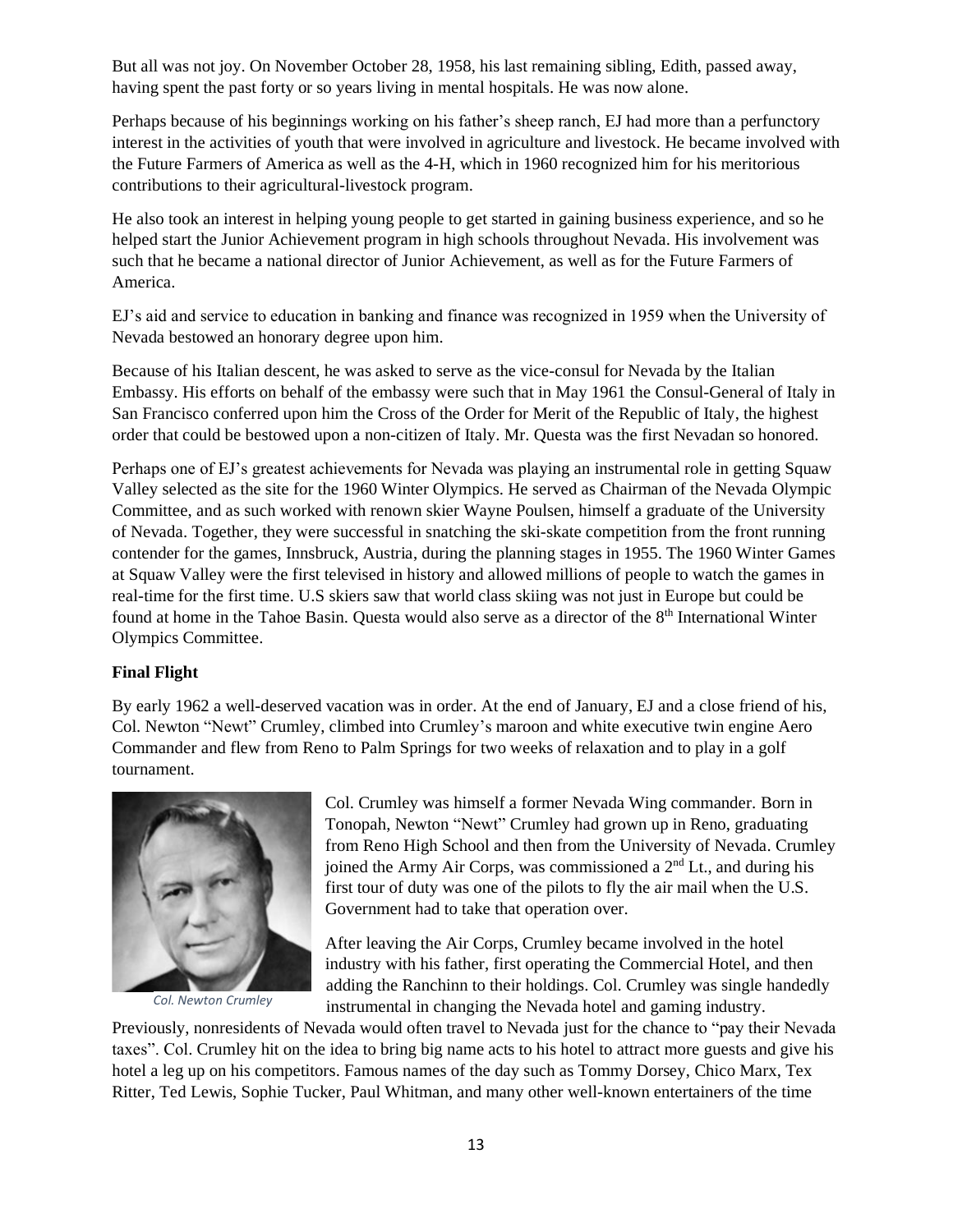But all was not joy. On November October 28, 1958, his last remaining sibling, Edith, passed away, having spent the past forty or so years living in mental hospitals. He was now alone.

Perhaps because of his beginnings working on his father's sheep ranch, EJ had more than a perfunctory interest in the activities of youth that were involved in agriculture and livestock. He became involved with the Future Farmers of America as well as the 4-H, which in 1960 recognized him for his meritorious contributions to their agricultural-livestock program.

He also took an interest in helping young people to get started in gaining business experience, and so he helped start the Junior Achievement program in high schools throughout Nevada. His involvement was such that he became a national director of Junior Achievement, as well as for the Future Farmers of America.

EJ's aid and service to education in banking and finance was recognized in 1959 when the University of Nevada bestowed an honorary degree upon him.

Because of his Italian descent, he was asked to serve as the vice-consul for Nevada by the Italian Embassy. His efforts on behalf of the embassy were such that in May 1961 the Consul-General of Italy in San Francisco conferred upon him the Cross of the Order for Merit of the Republic of Italy, the highest order that could be bestowed upon a non-citizen of Italy. Mr. Questa was the first Nevadan so honored.

Perhaps one of EJ's greatest achievements for Nevada was playing an instrumental role in getting Squaw Valley selected as the site for the 1960 Winter Olympics. He served as Chairman of the Nevada Olympic Committee, and as such worked with renown skier Wayne Poulsen, himself a graduate of the University of Nevada. Together, they were successful in snatching the ski-skate competition from the front running contender for the games, Innsbruck, Austria, during the planning stages in 1955. The 1960 Winter Games at Squaw Valley were the first televised in history and allowed millions of people to watch the games in real-time for the first time. U.S skiers saw that world class skiing was not just in Europe but could be found at home in the Tahoe Basin. Questa would also serve as a director of the 8<sup>th</sup> International Winter Olympics Committee.

#### **Final Flight**

By early 1962 a well-deserved vacation was in order. At the end of January, EJ and a close friend of his, Col. Newton "Newt" Crumley, climbed into Crumley's maroon and white executive twin engine Aero Commander and flew from Reno to Palm Springs for two weeks of relaxation and to play in a golf tournament.



*Col. Newton Crumley*

Col. Crumley was himself a former Nevada Wing commander. Born in Tonopah, Newton "Newt" Crumley had grown up in Reno, graduating from Reno High School and then from the University of Nevada. Crumley ioined the Army Air Corps, was commissioned a  $2<sup>nd</sup>$  Lt., and during his first tour of duty was one of the pilots to fly the air mail when the U.S. Government had to take that operation over.

After leaving the Air Corps, Crumley became involved in the hotel industry with his father, first operating the Commercial Hotel, and then adding the Ranchinn to their holdings. Col. Crumley was single handedly instrumental in changing the Nevada hotel and gaming industry.

Previously, nonresidents of Nevada would often travel to Nevada just for the chance to "pay their Nevada taxes". Col. Crumley hit on the idea to bring big name acts to his hotel to attract more guests and give his hotel a leg up on his competitors. Famous names of the day such as Tommy Dorsey, Chico Marx, Tex Ritter, Ted Lewis, Sophie Tucker, Paul Whitman, and many other well-known entertainers of the time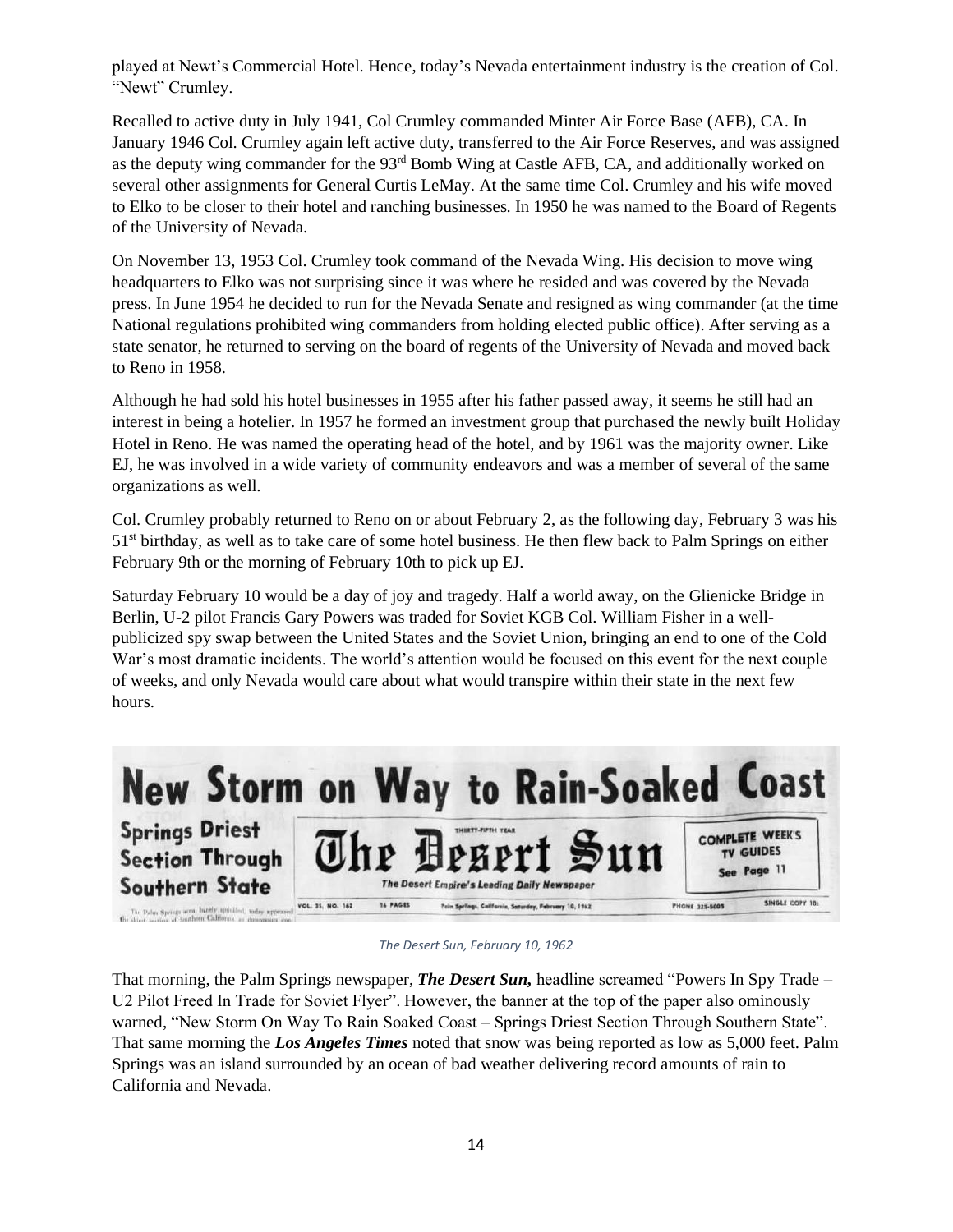played at Newt's Commercial Hotel. Hence, today's Nevada entertainment industry is the creation of Col. "Newt" Crumley.

Recalled to active duty in July 1941, Col Crumley commanded Minter Air Force Base (AFB), CA. In January 1946 Col. Crumley again left active duty, transferred to the Air Force Reserves, and was assigned as the deputy wing commander for the 93<sup>rd</sup> Bomb Wing at Castle AFB, CA, and additionally worked on several other assignments for General Curtis LeMay. At the same time Col. Crumley and his wife moved to Elko to be closer to their hotel and ranching businesses. In 1950 he was named to the Board of Regents of the University of Nevada.

On November 13, 1953 Col. Crumley took command of the Nevada Wing. His decision to move wing headquarters to Elko was not surprising since it was where he resided and was covered by the Nevada press. In June 1954 he decided to run for the Nevada Senate and resigned as wing commander (at the time National regulations prohibited wing commanders from holding elected public office). After serving as a state senator, he returned to serving on the board of regents of the University of Nevada and moved back to Reno in 1958.

Although he had sold his hotel businesses in 1955 after his father passed away, it seems he still had an interest in being a hotelier. In 1957 he formed an investment group that purchased the newly built Holiday Hotel in Reno. He was named the operating head of the hotel, and by 1961 was the majority owner. Like EJ, he was involved in a wide variety of community endeavors and was a member of several of the same organizations as well.

Col. Crumley probably returned to Reno on or about February 2, as the following day, February 3 was his 51st birthday, as well as to take care of some hotel business. He then flew back to Palm Springs on either February 9th or the morning of February 10th to pick up EJ.

Saturday February 10 would be a day of joy and tragedy. Half a world away, on the [Glienicke Bridge](https://en.wikipedia.org/wiki/Glienicke_Bridge) in [Berlin,](https://en.wikipedia.org/wiki/Berlin) U-2 pilot Francis Gary Powers was traded for Soviet KGB Col. [William Fisher](https://en.wikipedia.org/wiki/Rudolf_Abel) in a wellpublicized spy swap between the United States and the Soviet Union, bringing an end to one of the Cold War's most dramatic incidents. The world's attention would be focused on this event for the next couple of weeks, and only Nevada would care about what would transpire within their state in the next few hours.



*The Desert Sun, February 10, 1962*

That morning, the Palm Springs newspaper, *The Desert Sun,* headline screamed "Powers In Spy Trade – U2 Pilot Freed In Trade for Soviet Flyer". However, the banner at the top of the paper also ominously warned, "New Storm On Way To Rain Soaked Coast – Springs Driest Section Through Southern State". That same morning the *Los Angeles Times* noted that snow was being reported as low as 5,000 feet. Palm Springs was an island surrounded by an ocean of bad weather delivering record amounts of rain to California and Nevada.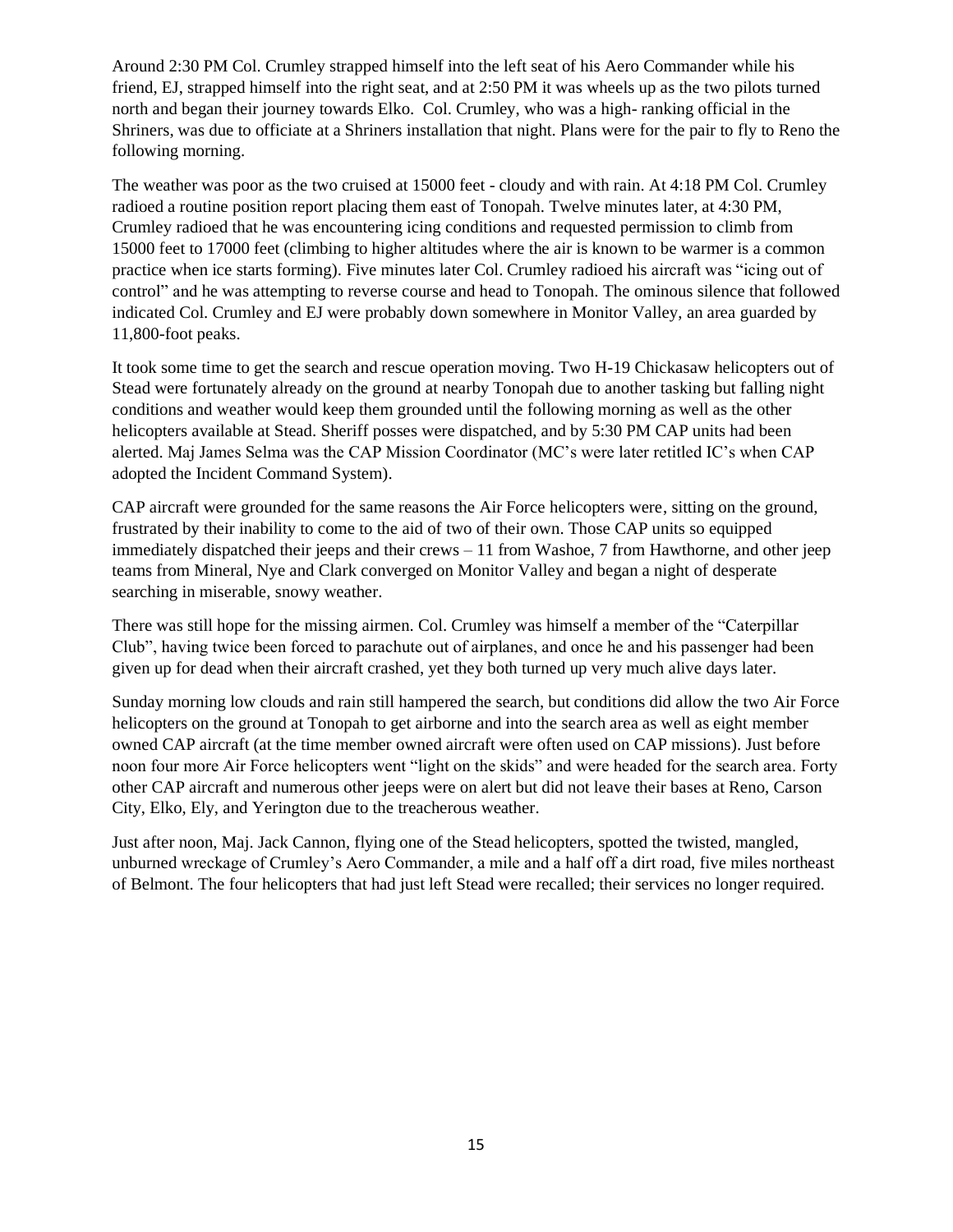Around 2:30 PM Col. Crumley strapped himself into the left seat of his Aero Commander while his friend, EJ, strapped himself into the right seat, and at 2:50 PM it was wheels up as the two pilots turned north and began their journey towards Elko. Col. Crumley, who was a high- ranking official in the Shriners, was due to officiate at a Shriners installation that night. Plans were for the pair to fly to Reno the following morning.

The weather was poor as the two cruised at 15000 feet - cloudy and with rain. At 4:18 PM Col. Crumley radioed a routine position report placing them east of Tonopah. Twelve minutes later, at 4:30 PM, Crumley radioed that he was encountering icing conditions and requested permission to climb from 15000 feet to 17000 feet (climbing to higher altitudes where the air is known to be warmer is a common practice when ice starts forming). Five minutes later Col. Crumley radioed his aircraft was "icing out of control" and he was attempting to reverse course and head to Tonopah. The ominous silence that followed indicated Col. Crumley and EJ were probably down somewhere in Monitor Valley, an area guarded by 11,800-foot peaks.

It took some time to get the search and rescue operation moving. Two H-19 Chickasaw helicopters out of Stead were fortunately already on the ground at nearby Tonopah due to another tasking but falling night conditions and weather would keep them grounded until the following morning as well as the other helicopters available at Stead. Sheriff posses were dispatched, and by 5:30 PM CAP units had been alerted. Maj James Selma was the CAP Mission Coordinator (MC's were later retitled IC's when CAP adopted the Incident Command System).

CAP aircraft were grounded for the same reasons the Air Force helicopters were, sitting on the ground, frustrated by their inability to come to the aid of two of their own. Those CAP units so equipped immediately dispatched their jeeps and their crews  $-11$  from Washoe, 7 from Hawthorne, and other jeep teams from Mineral, Nye and Clark converged on Monitor Valley and began a night of desperate searching in miserable, snowy weather.

There was still hope for the missing airmen. Col. Crumley was himself a member of the "Caterpillar Club", having twice been forced to parachute out of airplanes, and once he and his passenger had been given up for dead when their aircraft crashed, yet they both turned up very much alive days later.

Sunday morning low clouds and rain still hampered the search, but conditions did allow the two Air Force helicopters on the ground at Tonopah to get airborne and into the search area as well as eight member owned CAP aircraft (at the time member owned aircraft were often used on CAP missions). Just before noon four more Air Force helicopters went "light on the skids" and were headed for the search area. Forty other CAP aircraft and numerous other jeeps were on alert but did not leave their bases at Reno, Carson City, Elko, Ely, and Yerington due to the treacherous weather.

Just after noon, Maj. Jack Cannon, flying one of the Stead helicopters, spotted the twisted, mangled, unburned wreckage of Crumley's Aero Commander, a mile and a half off a dirt road, five miles northeast of Belmont. The four helicopters that had just left Stead were recalled; their services no longer required.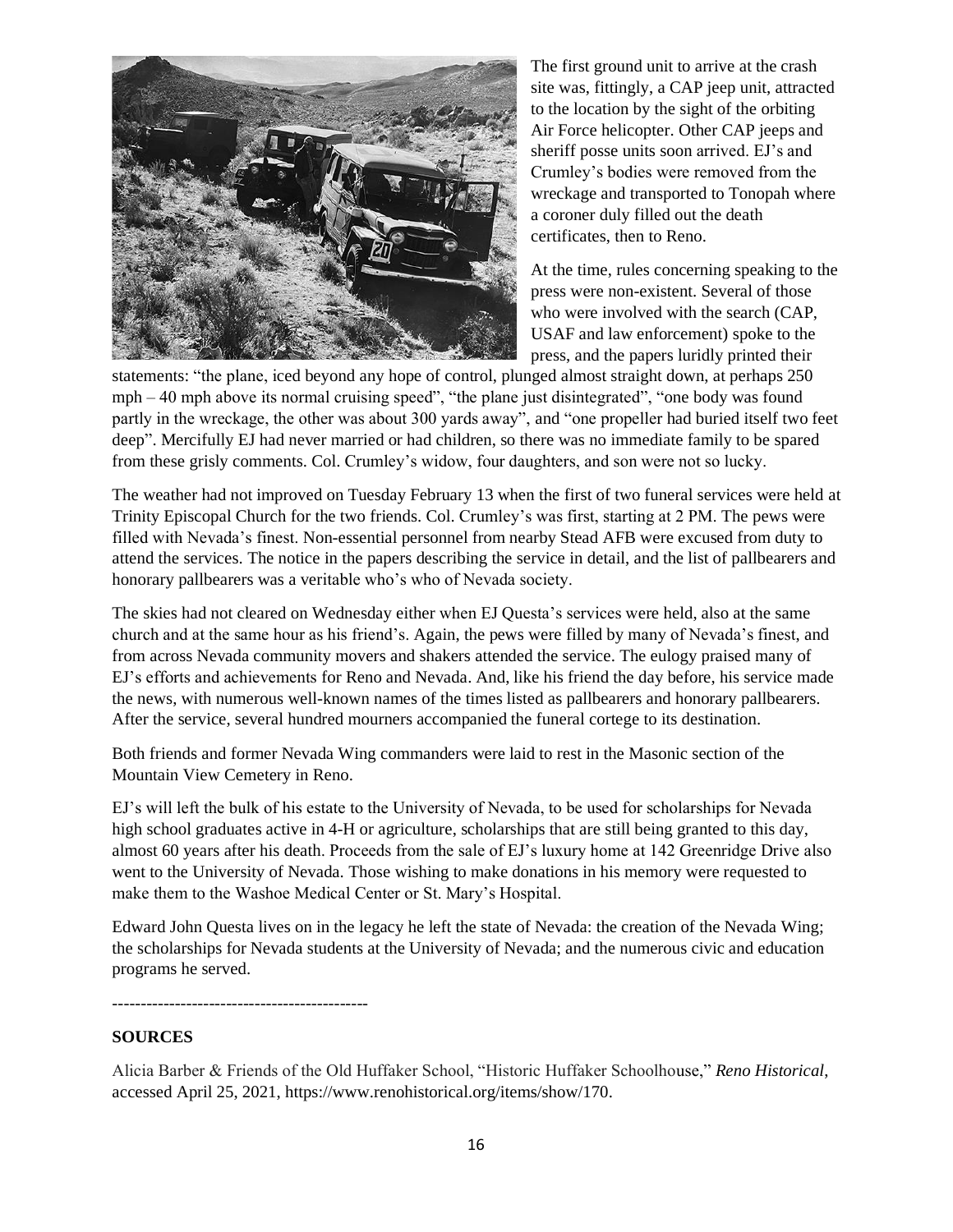

The first ground unit to arrive at the crash site was, fittingly, a CAP jeep unit, attracted to the location by the sight of the orbiting Air Force helicopter. Other CAP jeeps and sheriff posse units soon arrived. EJ's and Crumley's bodies were removed from the wreckage and transported to Tonopah where a coroner duly filled out the death certificates, then to Reno.

At the time, rules concerning speaking to the press were non-existent. Several of those who were involved with the search (CAP, USAF and law enforcement) spoke to the press, and the papers luridly printed their

statements: "the plane, iced beyond any hope of control, plunged almost straight down, at perhaps 250  $mph - 40$  mph above its normal cruising speed", "the plane just disintegrated", "one body was found partly in the wreckage, the other was about 300 yards away", and "one propeller had buried itself two feet deep". Mercifully EJ had never married or had children, so there was no immediate family to be spared from these grisly comments. Col. Crumley's widow, four daughters, and son were not so lucky.

The weather had not improved on Tuesday February 13 when the first of two funeral services were held at Trinity Episcopal Church for the two friends. Col. Crumley's was first, starting at 2 PM. The pews were filled with Nevada's finest. Non-essential personnel from nearby Stead AFB were excused from duty to attend the services. The notice in the papers describing the service in detail, and the list of pallbearers and honorary pallbearers was a veritable who's who of Nevada society.

The skies had not cleared on Wednesday either when EJ Questa's services were held, also at the same church and at the same hour as his friend's. Again, the pews were filled by many of Nevada's finest, and from across Nevada community movers and shakers attended the service. The eulogy praised many of EJ's efforts and achievements for Reno and Nevada. And, like his friend the day before, his service made the news, with numerous well-known names of the times listed as pallbearers and honorary pallbearers. After the service, several hundred mourners accompanied the funeral cortege to its destination.

Both friends and former Nevada Wing commanders were laid to rest in the Masonic section of the Mountain View Cemetery in Reno.

EJ's will left the bulk of his estate to the University of Nevada, to be used for scholarships for Nevada high school graduates active in 4-H or agriculture, scholarships that are still being granted to this day, almost 60 years after his death. Proceeds from the sale of EJ's luxury home at 142 Greenridge Drive also went to the University of Nevada. Those wishing to make donations in his memory were requested to make them to the Washoe Medical Center or St. Mary's Hospital.

Edward John Questa lives on in the legacy he left the state of Nevada: the creation of the Nevada Wing; the scholarships for Nevada students at the University of Nevada; and the numerous civic and education programs he served.

---------------------------------------------

#### **SOURCES**

Alicia Barber & Friends of the Old Huffaker School, "Historic Huffaker Schoolhouse," *Reno Historical*, accessed April 25, 2021, [https://www.renohistorical.org/items/show/170.](https://www.renohistorical.org/items/show/170)